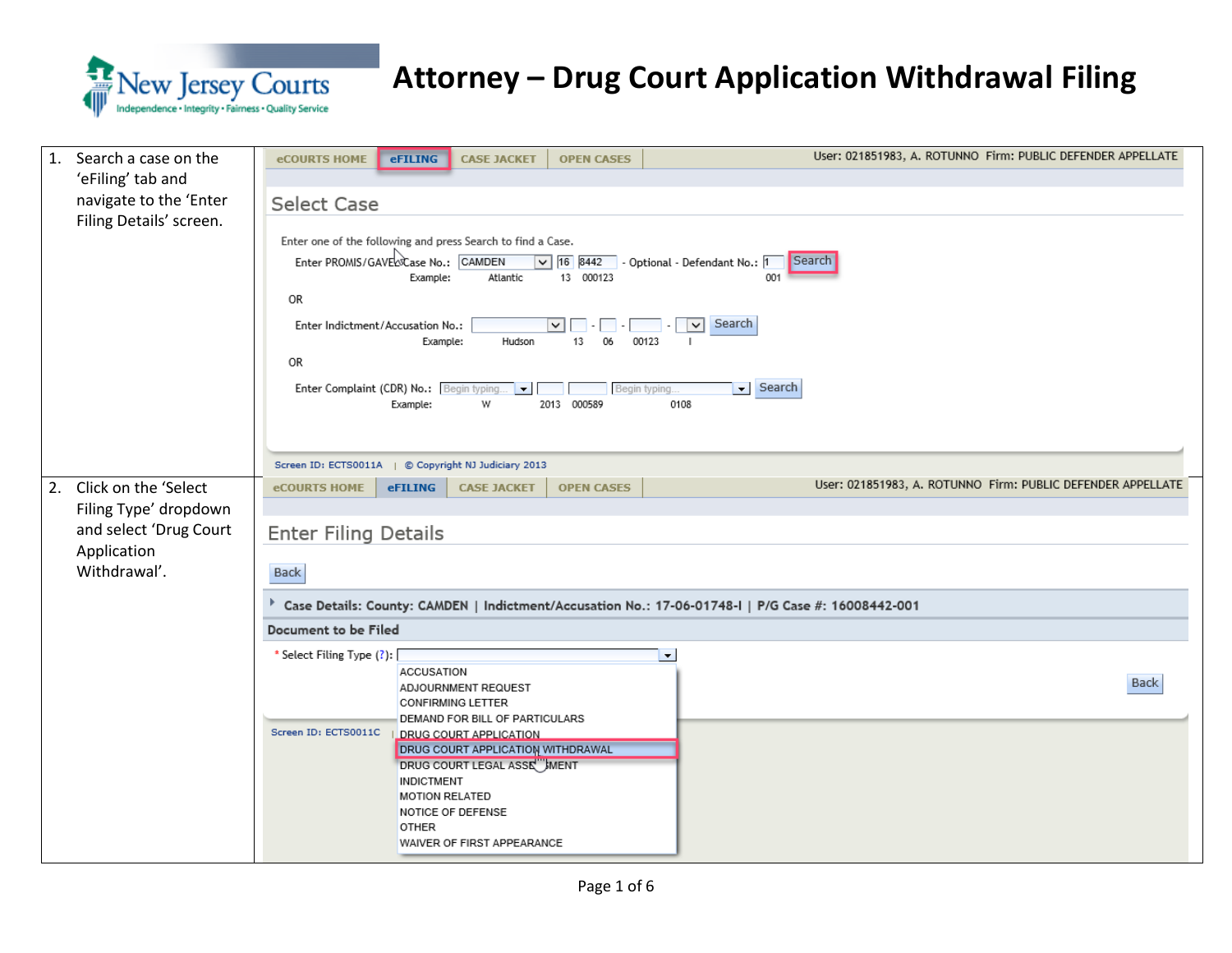

| Search a case on the<br>1.<br>'eFiling' tab and<br>navigate to the 'Enter<br>Filing Details' screen.         | User: 021851983, A. ROTUNNO Firm: PUBLIC DEFENDER APPELLATE<br><b>eCOURTS HOME</b><br>eFILING<br><b>CASE JACKET</b><br><b>OPEN CASES</b><br><b>Select Case</b><br>Enter one of the following and press Search to find a Case.<br>Enter PROMIS/GAVERSCase No.: CAMDEN<br>$\boxed{\smile}$ 16 8442 - Optional - Defendant No.: 1<br>Search<br>13 000123<br>001<br>Example:<br>Atlantic<br>OR<br>Search<br>Enter Indictment/Accusation No.:<br>$\vert \cdot \vert \vert \cdot \vert$<br>$\vee$<br>Example:<br>Hudson<br>13<br>06<br>00123<br>л.<br>OR<br>Search<br>Enter Complaint (CDR) No.: Begin typing<br>$\overline{\phantom{a}}$<br>Begin typing.<br>$\vert \cdot \vert$<br>W<br>0108<br>Example:<br>2013 000589 |
|--------------------------------------------------------------------------------------------------------------|---------------------------------------------------------------------------------------------------------------------------------------------------------------------------------------------------------------------------------------------------------------------------------------------------------------------------------------------------------------------------------------------------------------------------------------------------------------------------------------------------------------------------------------------------------------------------------------------------------------------------------------------------------------------------------------------------------------------|
|                                                                                                              | Screen ID: ECTS0011A   © Copyright NJ Judiciary 2013                                                                                                                                                                                                                                                                                                                                                                                                                                                                                                                                                                                                                                                                |
| Click on the 'Select<br>2.<br>Filing Type' dropdown<br>and select 'Drug Court<br>Application<br>Withdrawal'. | User: 021851983, A. ROTUNNO Firm: PUBLIC DEFENDER APPELLATE<br><b>eFILING</b><br><b>CASE JACKET</b><br><b>OPEN CASES</b><br><b>eCOURTS HOME</b><br><b>Enter Filing Details</b><br>Back<br>Case Details: County: CAMDEN   Indictment/Accusation No.: 17-06-01748-1   P/G Case #: 16008442-001                                                                                                                                                                                                                                                                                                                                                                                                                        |
|                                                                                                              | Document to be Filed                                                                                                                                                                                                                                                                                                                                                                                                                                                                                                                                                                                                                                                                                                |
|                                                                                                              | * Select Filing Type (?): [<br>$\blacksquare$<br>ACCUSATION<br><b>Back</b><br>ADJOURNMENT REQUEST<br><b>CONFIRMING LETTER</b><br>DEMAND FOR BILL OF PARTICULARS                                                                                                                                                                                                                                                                                                                                                                                                                                                                                                                                                     |
|                                                                                                              | Screen ID: ECTS0011C<br><b>DRUG COURT APPLICATION</b><br><b>DRUG COURT APPLICATION WITHDRAWAL</b><br>DRUG COURT LEGAL ASSE HMENT<br><b>INDICTMENT</b><br><b>MOTION RELATED</b><br>NOTICE OF DEFENSE<br>OTHER<br>WAIVER OF FIRST APPEARANCE                                                                                                                                                                                                                                                                                                                                                                                                                                                                          |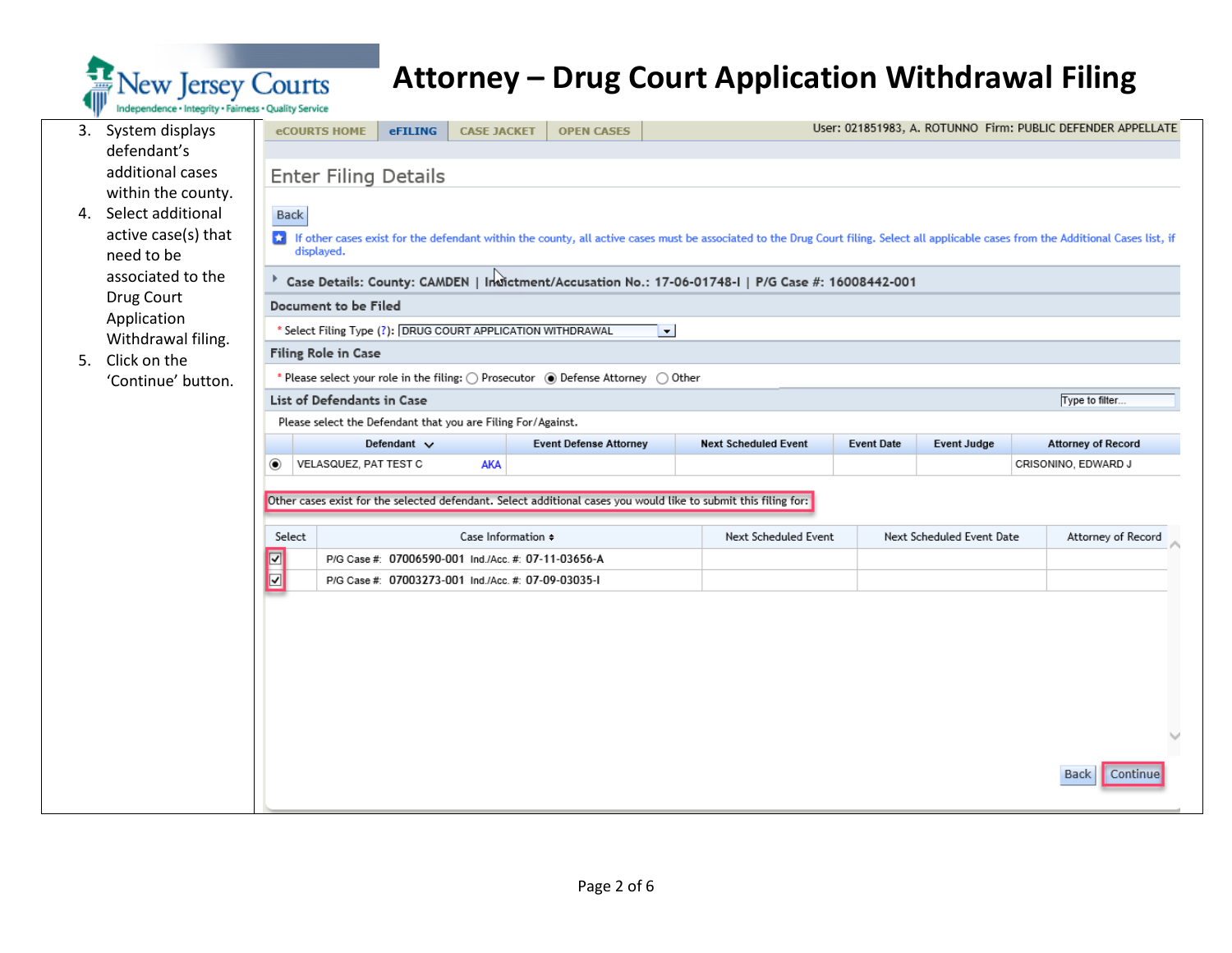

|    | 3. System displays                      |                                                    | <b>eCOURTS HOME</b>                                                                                | <b>eFILING</b>              | <b>CASE JACKET</b>                                           | <b>OPEN CASES</b>                                                                      |  |                                                                                                                                                                                        |                   |                           |  | User: 021851983, A. ROTUNNO Firm: PUBLIC DEFENDER APPELLATE |        |  |  |  |
|----|-----------------------------------------|----------------------------------------------------|----------------------------------------------------------------------------------------------------|-----------------------------|--------------------------------------------------------------|----------------------------------------------------------------------------------------|--|----------------------------------------------------------------------------------------------------------------------------------------------------------------------------------------|-------------------|---------------------------|--|-------------------------------------------------------------|--------|--|--|--|
|    | defendant's                             |                                                    |                                                                                                    |                             |                                                              |                                                                                        |  |                                                                                                                                                                                        |                   |                           |  |                                                             |        |  |  |  |
|    | additional cases                        |                                                    |                                                                                                    | <b>Enter Filing Details</b> |                                                              |                                                                                        |  |                                                                                                                                                                                        |                   |                           |  |                                                             |        |  |  |  |
| 4. | within the county.<br>Select additional | Back                                               |                                                                                                    |                             |                                                              |                                                                                        |  |                                                                                                                                                                                        |                   |                           |  |                                                             |        |  |  |  |
|    | active case(s) that                     |                                                    |                                                                                                    |                             |                                                              |                                                                                        |  |                                                                                                                                                                                        |                   |                           |  |                                                             |        |  |  |  |
|    | need to be                              |                                                    | displayed.                                                                                         |                             |                                                              |                                                                                        |  | of other cases exist for the defendant within the county, all active cases must be associated to the Drug Court filing. Select all applicable cases from the Additional Cases list, if |                   |                           |  |                                                             |        |  |  |  |
|    | associated to the                       |                                                    | Case Details: County: CAMDEN   Indictment/Accusation No.: 17-06-01748-1   P/G Case #: 16008442-001 |                             |                                                              |                                                                                        |  |                                                                                                                                                                                        |                   |                           |  |                                                             |        |  |  |  |
|    | Drug Court                              |                                                    | Document to be Filed                                                                               |                             |                                                              |                                                                                        |  |                                                                                                                                                                                        |                   |                           |  |                                                             |        |  |  |  |
|    | Application                             |                                                    | * Select Filing Type (?): DRUG COURT APPLICATION WITHDRAWAL<br>$\blacksquare$                      |                             |                                                              |                                                                                        |  |                                                                                                                                                                                        |                   |                           |  |                                                             |        |  |  |  |
|    | Withdrawal filing.                      |                                                    | Filing Role in Case                                                                                |                             |                                                              |                                                                                        |  |                                                                                                                                                                                        |                   |                           |  |                                                             |        |  |  |  |
| 5. | Click on the<br>'Continue' button.      |                                                    |                                                                                                    |                             |                                                              | * Please select your role in the filing: ( ) Prosecutor ( ) Defense Attorney ( ) Other |  |                                                                                                                                                                                        |                   |                           |  |                                                             |        |  |  |  |
|    |                                         |                                                    | List of Defendants in Case                                                                         |                             |                                                              |                                                                                        |  |                                                                                                                                                                                        |                   |                           |  | Type to filter                                              |        |  |  |  |
|    |                                         |                                                    |                                                                                                    |                             | Please select the Defendant that you are Filing For/Against. |                                                                                        |  |                                                                                                                                                                                        |                   |                           |  |                                                             |        |  |  |  |
|    |                                         |                                                    |                                                                                                    | Defendant $\vee$            |                                                              | <b>Event Defense Attorney</b>                                                          |  | <b>Next Scheduled Event</b>                                                                                                                                                            | <b>Event Date</b> | <b>Event Judge</b>        |  | <b>Attorney of Record</b>                                   |        |  |  |  |
|    |                                         | $\circledbullet$                                   | VELASQUEZ, PAT TEST C                                                                              |                             | AKA                                                          |                                                                                        |  |                                                                                                                                                                                        |                   |                           |  | CRISONINO, EDWARD J                                         |        |  |  |  |
|    |                                         |                                                    |                                                                                                    |                             |                                                              |                                                                                        |  |                                                                                                                                                                                        |                   |                           |  |                                                             |        |  |  |  |
|    |                                         |                                                    |                                                                                                    |                             |                                                              |                                                                                        |  | Other cases exist for the selected defendant. Select additional cases you would like to submit this filing for:                                                                        |                   |                           |  |                                                             |        |  |  |  |
|    |                                         | Select                                             |                                                                                                    |                             | Case Information $\doteqdot$                                 |                                                                                        |  | Next Scheduled Event                                                                                                                                                                   |                   | Next Scheduled Event Date |  | Attorney of Record                                          |        |  |  |  |
|    |                                         | $\overline{\mathbf{S}}$ is $\overline{\mathbf{S}}$ |                                                                                                    |                             | P/G Case #: 07006590-001 Ind./Acc. #: 07-11-03656-A          |                                                                                        |  |                                                                                                                                                                                        |                   |                           |  |                                                             |        |  |  |  |
|    |                                         |                                                    |                                                                                                    |                             | P/G Case #: 07003273-001 Ind./Acc. #: 07-09-03035-1          |                                                                                        |  |                                                                                                                                                                                        |                   |                           |  |                                                             |        |  |  |  |
|    |                                         |                                                    |                                                                                                    |                             |                                                              |                                                                                        |  |                                                                                                                                                                                        |                   |                           |  |                                                             |        |  |  |  |
|    |                                         |                                                    |                                                                                                    |                             |                                                              |                                                                                        |  |                                                                                                                                                                                        |                   |                           |  |                                                             |        |  |  |  |
|    |                                         |                                                    |                                                                                                    |                             |                                                              |                                                                                        |  |                                                                                                                                                                                        |                   |                           |  |                                                             |        |  |  |  |
|    |                                         |                                                    |                                                                                                    |                             |                                                              |                                                                                        |  |                                                                                                                                                                                        |                   |                           |  |                                                             |        |  |  |  |
|    |                                         |                                                    |                                                                                                    |                             |                                                              |                                                                                        |  |                                                                                                                                                                                        |                   |                           |  |                                                             |        |  |  |  |
|    |                                         |                                                    |                                                                                                    |                             |                                                              |                                                                                        |  |                                                                                                                                                                                        |                   |                           |  |                                                             | $\sim$ |  |  |  |
|    |                                         |                                                    |                                                                                                    |                             |                                                              |                                                                                        |  |                                                                                                                                                                                        |                   |                           |  |                                                             |        |  |  |  |
|    |                                         |                                                    |                                                                                                    |                             |                                                              |                                                                                        |  |                                                                                                                                                                                        |                   |                           |  | <b>Back</b><br>Continue                                     |        |  |  |  |
|    |                                         |                                                    |                                                                                                    |                             |                                                              |                                                                                        |  |                                                                                                                                                                                        |                   |                           |  |                                                             |        |  |  |  |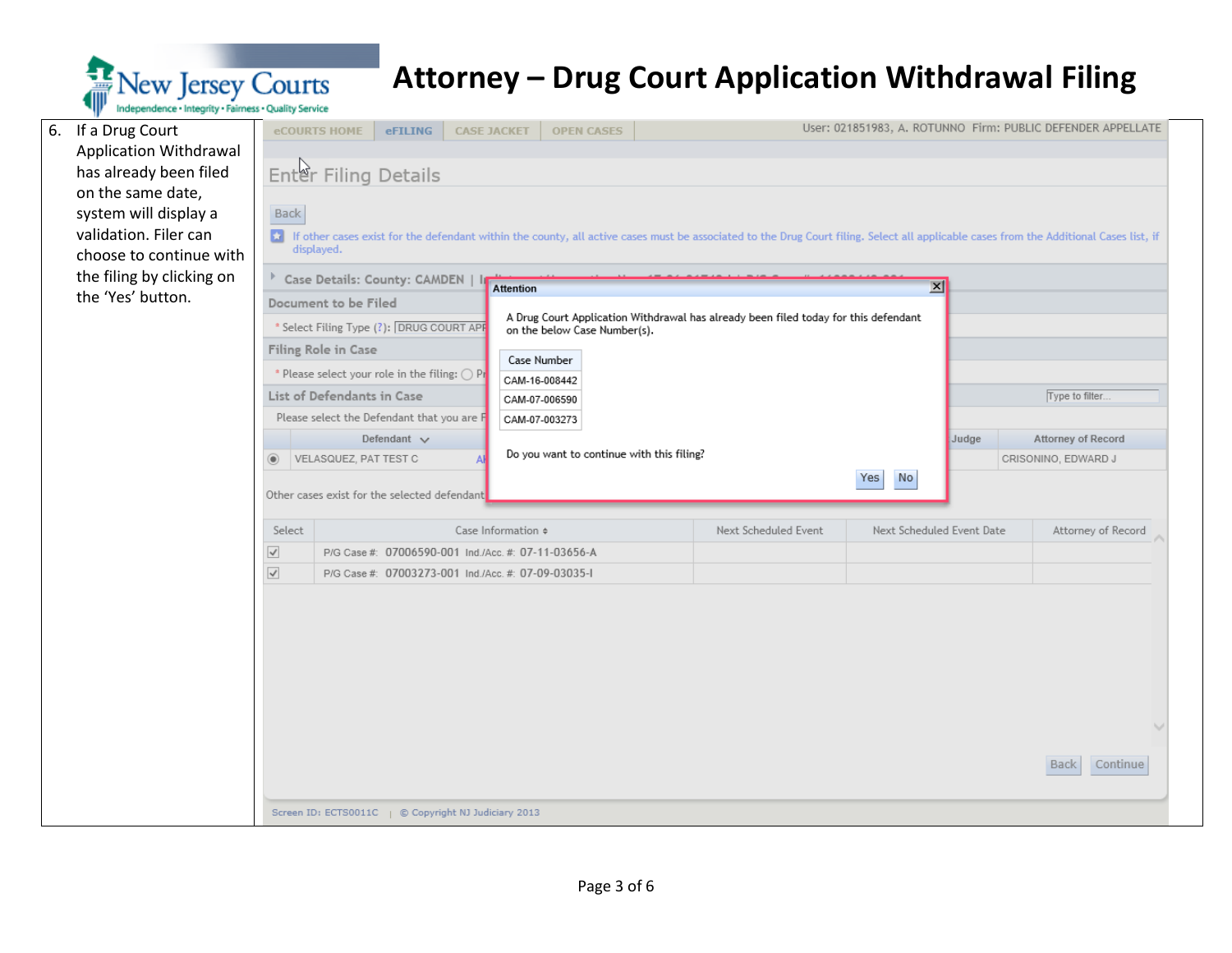

|  | 6. If a Drug Court                             | eCOURTS HOME                                                            | eFILING                                                                                                    | <b>CASE JACKET</b>             | <b>OPEN CASES</b>            |  |                                                                                                                                                                                        |  |                           | User: 021851983, A. ROTUNNO Firm: PUBLIC DEFENDER APPELLATE |  |  |  |
|--|------------------------------------------------|-------------------------------------------------------------------------|------------------------------------------------------------------------------------------------------------|--------------------------------|------------------------------|--|----------------------------------------------------------------------------------------------------------------------------------------------------------------------------------------|--|---------------------------|-------------------------------------------------------------|--|--|--|
|  | Application Withdrawal                         |                                                                         |                                                                                                            |                                |                              |  |                                                                                                                                                                                        |  |                           |                                                             |  |  |  |
|  | has already been filed                         |                                                                         | Enter Filing Details                                                                                       |                                |                              |  |                                                                                                                                                                                        |  |                           |                                                             |  |  |  |
|  | on the same date,                              |                                                                         |                                                                                                            |                                |                              |  |                                                                                                                                                                                        |  |                           |                                                             |  |  |  |
|  | system will display a                          | Back                                                                    |                                                                                                            |                                |                              |  |                                                                                                                                                                                        |  |                           |                                                             |  |  |  |
|  | validation. Filer can                          |                                                                         |                                                                                                            |                                |                              |  | of other cases exist for the defendant within the county, all active cases must be associated to the Drug Court filing. Select all applicable cases from the Additional Cases list, if |  |                           |                                                             |  |  |  |
|  | choose to continue with                        | displayed.                                                              |                                                                                                            |                                |                              |  |                                                                                                                                                                                        |  |                           |                                                             |  |  |  |
|  | the filing by clicking on<br>the 'Yes' button. | Case Details: County: CAMDEN   I<br>$\vert x \vert$<br><b>Attention</b> |                                                                                                            |                                |                              |  |                                                                                                                                                                                        |  |                           |                                                             |  |  |  |
|  |                                                | Document to be Filed                                                    |                                                                                                            |                                |                              |  |                                                                                                                                                                                        |  |                           |                                                             |  |  |  |
|  |                                                |                                                                         | * Select Filing Type (?): DRUG COURT APF                                                                   |                                |                              |  |                                                                                                                                                                                        |  |                           |                                                             |  |  |  |
|  |                                                | Filing Role in Case                                                     |                                                                                                            |                                | on the below Case Number(s). |  |                                                                                                                                                                                        |  |                           |                                                             |  |  |  |
|  |                                                |                                                                         | Case Number<br>* Please select your role in the filing: O Pr                                               |                                |                              |  |                                                                                                                                                                                        |  |                           |                                                             |  |  |  |
|  |                                                |                                                                         | List of Defendants in Case                                                                                 |                                | CAM-16-008442                |  |                                                                                                                                                                                        |  |                           | Type to filter.                                             |  |  |  |
|  |                                                |                                                                         | Please select the Defendant that you are F                                                                 | CAM-07-006590<br>CAM-07-003273 |                              |  |                                                                                                                                                                                        |  |                           |                                                             |  |  |  |
|  |                                                |                                                                         | Defendant $\vee$                                                                                           |                                |                              |  |                                                                                                                                                                                        |  | Judge                     | Attorney of Record                                          |  |  |  |
|  |                                                | $^{\circ}$                                                              | Do you want to continue with this filing?<br>VELASQUEZ, PAT TEST C                                         |                                |                              |  |                                                                                                                                                                                        |  |                           | CRISONINO, EDWARD J                                         |  |  |  |
|  |                                                |                                                                         | Yes<br><b>No</b>                                                                                           |                                |                              |  |                                                                                                                                                                                        |  |                           |                                                             |  |  |  |
|  |                                                |                                                                         | Other cases exist for the selected defendant                                                               |                                |                              |  |                                                                                                                                                                                        |  |                           |                                                             |  |  |  |
|  |                                                |                                                                         |                                                                                                            | Case Information $\doteqdot$   |                              |  | Next Scheduled Event                                                                                                                                                                   |  |                           | Attorney of Record                                          |  |  |  |
|  |                                                | Select                                                                  |                                                                                                            |                                |                              |  |                                                                                                                                                                                        |  | Next Scheduled Event Date |                                                             |  |  |  |
|  |                                                | $\prec$<br>$\prec$                                                      | P/G Case #: 07006590-001 Ind./Acc. #: 07-11-03656-A<br>P/G Case #: 07003273-001 Ind./Acc. #: 07-09-03035-1 |                                |                              |  |                                                                                                                                                                                        |  |                           |                                                             |  |  |  |
|  |                                                |                                                                         |                                                                                                            |                                |                              |  |                                                                                                                                                                                        |  |                           |                                                             |  |  |  |
|  |                                                |                                                                         |                                                                                                            |                                |                              |  |                                                                                                                                                                                        |  |                           |                                                             |  |  |  |
|  |                                                |                                                                         |                                                                                                            |                                |                              |  |                                                                                                                                                                                        |  |                           |                                                             |  |  |  |
|  |                                                |                                                                         |                                                                                                            |                                |                              |  |                                                                                                                                                                                        |  |                           |                                                             |  |  |  |
|  |                                                |                                                                         |                                                                                                            |                                |                              |  |                                                                                                                                                                                        |  |                           |                                                             |  |  |  |
|  |                                                |                                                                         |                                                                                                            |                                |                              |  |                                                                                                                                                                                        |  |                           |                                                             |  |  |  |
|  |                                                |                                                                         |                                                                                                            |                                |                              |  |                                                                                                                                                                                        |  |                           |                                                             |  |  |  |
|  |                                                |                                                                         |                                                                                                            |                                |                              |  |                                                                                                                                                                                        |  |                           |                                                             |  |  |  |
|  |                                                |                                                                         |                                                                                                            |                                |                              |  |                                                                                                                                                                                        |  |                           | Continue<br>Back                                            |  |  |  |
|  |                                                |                                                                         |                                                                                                            |                                |                              |  |                                                                                                                                                                                        |  |                           |                                                             |  |  |  |
|  |                                                |                                                                         |                                                                                                            |                                |                              |  |                                                                                                                                                                                        |  |                           |                                                             |  |  |  |
|  |                                                |                                                                         | Screen ID: ECTS0011C   © Copyright NJ Judiciary 2013                                                       |                                |                              |  |                                                                                                                                                                                        |  |                           |                                                             |  |  |  |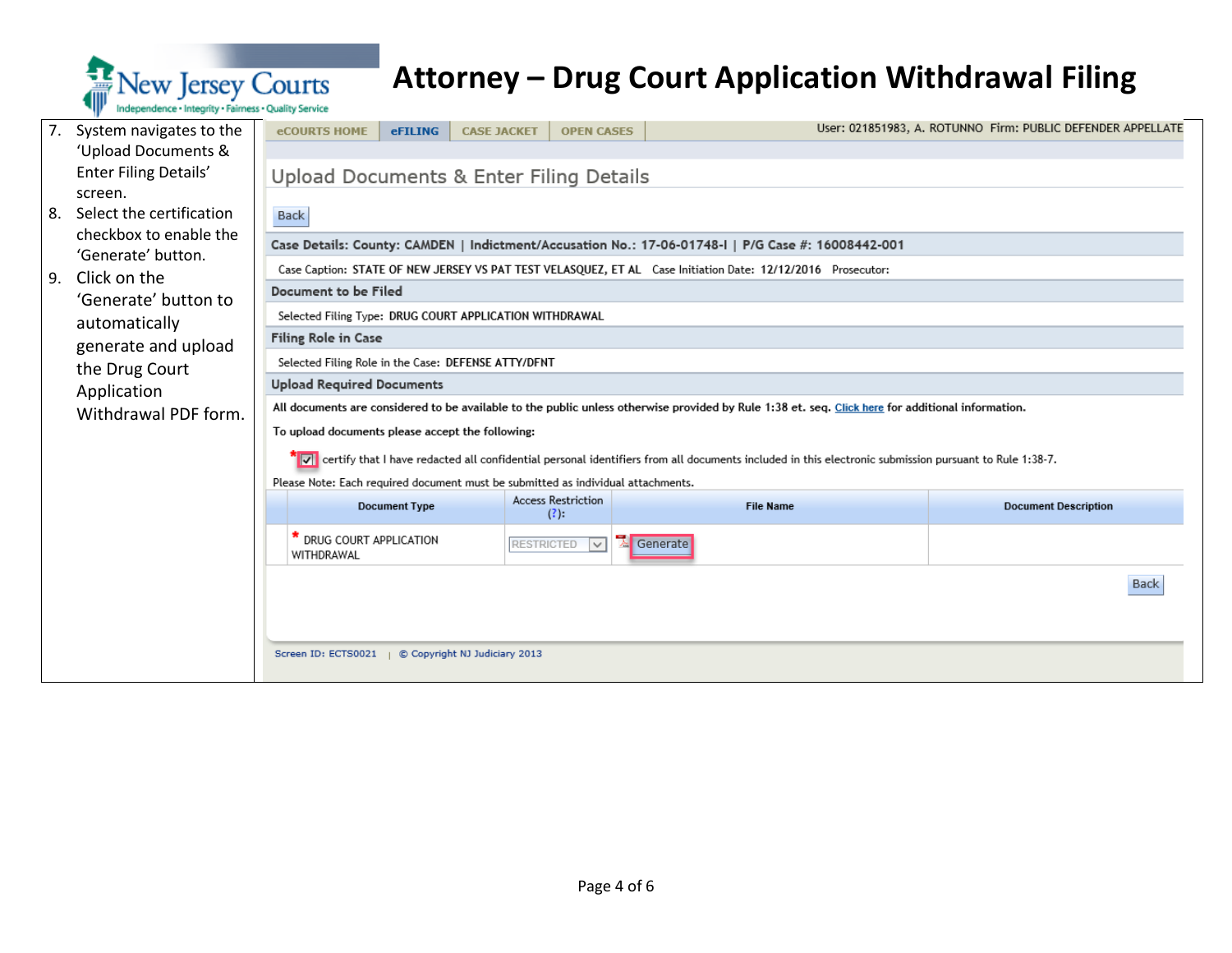

| 7. | System navigates to the                      | <b>eCOURTS HOME</b>                                                                                                                                     | eFILING                                                                                                                                           | <b>CASE JACKET</b> | <b>OPEN CASES</b>           |                                                                                                             | User: 021851983, A. ROTUNNO Firm: PUBLIC DEFENDER APPELLATE |  |  |  |  |
|----|----------------------------------------------|---------------------------------------------------------------------------------------------------------------------------------------------------------|---------------------------------------------------------------------------------------------------------------------------------------------------|--------------------|-----------------------------|-------------------------------------------------------------------------------------------------------------|-------------------------------------------------------------|--|--|--|--|
|    | 'Upload Documents &                          |                                                                                                                                                         |                                                                                                                                                   |                    |                             |                                                                                                             |                                                             |  |  |  |  |
|    | Enter Filing Details'                        | Upload Documents & Enter Filing Details                                                                                                                 |                                                                                                                                                   |                    |                             |                                                                                                             |                                                             |  |  |  |  |
|    | screen.                                      |                                                                                                                                                         |                                                                                                                                                   |                    |                             |                                                                                                             |                                                             |  |  |  |  |
| 8. | Select the certification                     | Back                                                                                                                                                    |                                                                                                                                                   |                    |                             |                                                                                                             |                                                             |  |  |  |  |
|    | checkbox to enable the<br>'Generate' button. | Case Details: County: CAMDEN   Indictment/Accusation No.: 17-06-01748-I   P/G Case #: 16008442-001                                                      |                                                                                                                                                   |                    |                             |                                                                                                             |                                                             |  |  |  |  |
| 9. | Click on the                                 |                                                                                                                                                         |                                                                                                                                                   |                    |                             | Case Caption: STATE OF NEW JERSEY VS PAT TEST VELASQUEZ, ET AL Case Initiation Date: 12/12/2016 Prosecutor: |                                                             |  |  |  |  |
|    | 'Generate' button to                         | Document to be Filed                                                                                                                                    |                                                                                                                                                   |                    |                             |                                                                                                             |                                                             |  |  |  |  |
|    | automatically                                | Selected Filing Type: DRUG COURT APPLICATION WITHDRAWAL                                                                                                 |                                                                                                                                                   |                    |                             |                                                                                                             |                                                             |  |  |  |  |
|    |                                              | <b>Filing Role in Case</b>                                                                                                                              |                                                                                                                                                   |                    |                             |                                                                                                             |                                                             |  |  |  |  |
|    | generate and upload                          | Selected Filing Role in the Case: DEFENSE ATTY/DFNT                                                                                                     |                                                                                                                                                   |                    |                             |                                                                                                             |                                                             |  |  |  |  |
|    | the Drug Court<br>Application                | <b>Upload Required Documents</b>                                                                                                                        |                                                                                                                                                   |                    |                             |                                                                                                             |                                                             |  |  |  |  |
|    | Withdrawal PDF form.                         |                                                                                                                                                         | All documents are considered to be available to the public unless otherwise provided by Rule 1:38 et. seq. Click here for additional information. |                    |                             |                                                                                                             |                                                             |  |  |  |  |
|    |                                              | To upload documents please accept the following:                                                                                                        |                                                                                                                                                   |                    |                             |                                                                                                             |                                                             |  |  |  |  |
|    |                                              | √ certify that I have redacted all confidential personal identifiers from all documents included in this electronic submission pursuant to Rule 1:38-7. |                                                                                                                                                   |                    |                             |                                                                                                             |                                                             |  |  |  |  |
|    |                                              | Please Note: Each required document must be submitted as individual attachments.                                                                        |                                                                                                                                                   |                    |                             |                                                                                                             |                                                             |  |  |  |  |
|    |                                              |                                                                                                                                                         | <b>Document Type</b>                                                                                                                              |                    | <b>Access Restriction</b>   | <b>File Name</b>                                                                                            |                                                             |  |  |  |  |
|    |                                              |                                                                                                                                                         |                                                                                                                                                   |                    | $(?)$ :                     |                                                                                                             | <b>Document Description</b>                                 |  |  |  |  |
|    |                                              | * DRUG COURT APPLICATION<br>WITHDRAWAL                                                                                                                  |                                                                                                                                                   |                    | <b>RESTRICTED</b><br>$\sim$ | Generate                                                                                                    |                                                             |  |  |  |  |
|    |                                              |                                                                                                                                                         |                                                                                                                                                   |                    |                             |                                                                                                             | <b>Back</b>                                                 |  |  |  |  |
|    |                                              |                                                                                                                                                         |                                                                                                                                                   |                    |                             |                                                                                                             |                                                             |  |  |  |  |
|    |                                              |                                                                                                                                                         |                                                                                                                                                   |                    |                             |                                                                                                             |                                                             |  |  |  |  |
|    |                                              | Screen ID: ECTS0021   © Copyright NJ Judiciary 2013                                                                                                     |                                                                                                                                                   |                    |                             |                                                                                                             |                                                             |  |  |  |  |
|    |                                              |                                                                                                                                                         |                                                                                                                                                   |                    |                             |                                                                                                             |                                                             |  |  |  |  |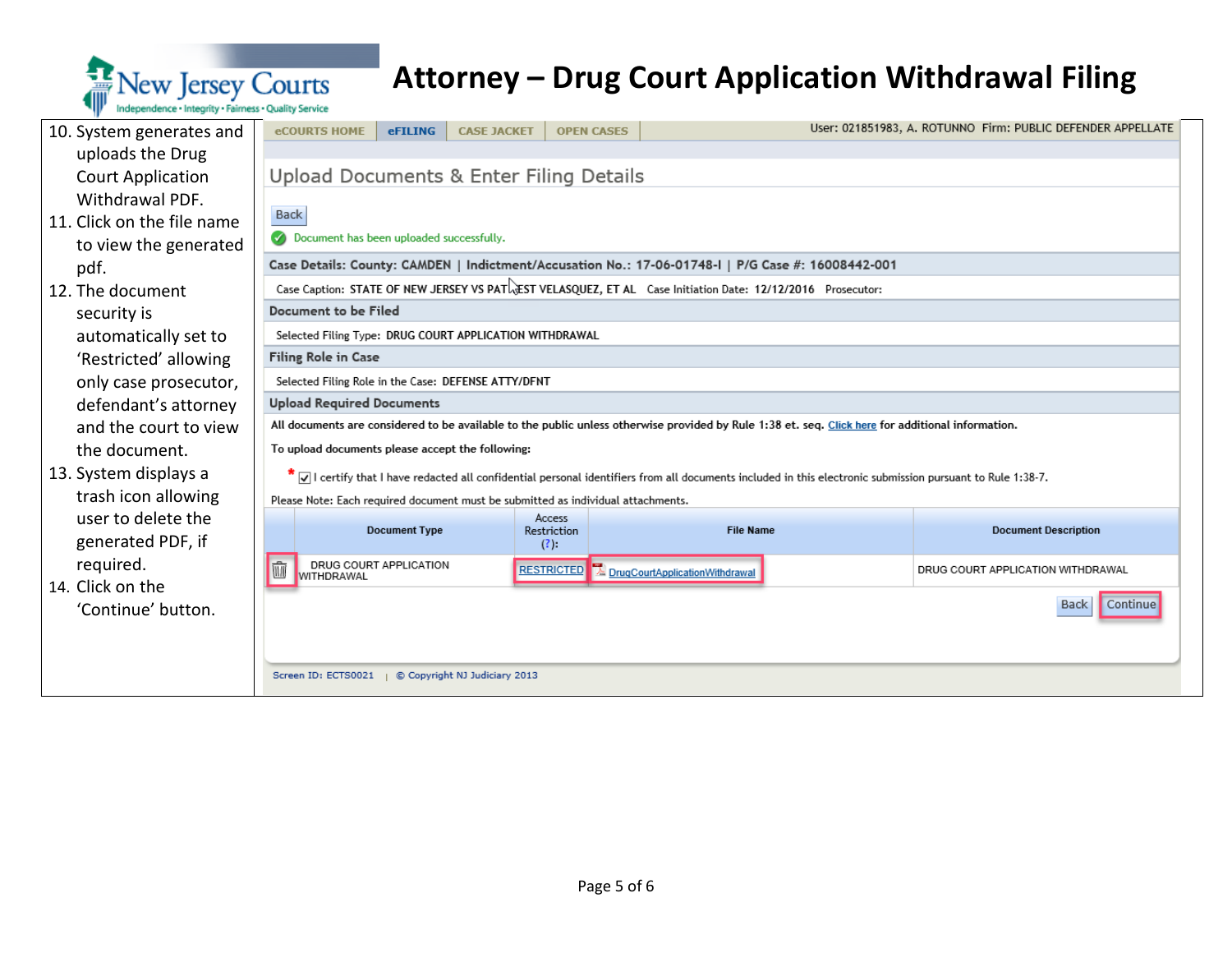

| 10. System generates and   | <b>eCOURTS HOME</b>                                                                                        | <b>eFILING</b>                                                                                     | <b>CASE JACKET</b> | <b>OPEN CASES</b>     |                                                                                                                                                           |  | User: 021851983, A. ROTUNNO Firm: PUBLIC DEFENDER APPELLATE |  |  |  |  |  |  |  |
|----------------------------|------------------------------------------------------------------------------------------------------------|----------------------------------------------------------------------------------------------------|--------------------|-----------------------|-----------------------------------------------------------------------------------------------------------------------------------------------------------|--|-------------------------------------------------------------|--|--|--|--|--|--|--|
| uploads the Drug           |                                                                                                            |                                                                                                    |                    |                       |                                                                                                                                                           |  |                                                             |  |  |  |  |  |  |  |
| <b>Court Application</b>   |                                                                                                            | Upload Documents & Enter Filing Details                                                            |                    |                       |                                                                                                                                                           |  |                                                             |  |  |  |  |  |  |  |
| Withdrawal PDF.            |                                                                                                            |                                                                                                    |                    |                       |                                                                                                                                                           |  |                                                             |  |  |  |  |  |  |  |
| 11. Click on the file name | Back                                                                                                       |                                                                                                    |                    |                       |                                                                                                                                                           |  |                                                             |  |  |  |  |  |  |  |
| to view the generated      | Document has been uploaded successfully.                                                                   |                                                                                                    |                    |                       |                                                                                                                                                           |  |                                                             |  |  |  |  |  |  |  |
| pdf.                       |                                                                                                            | Case Details: County: CAMDEN   Indictment/Accusation No.: 17-06-01748-I   P/G Case #: 16008442-001 |                    |                       |                                                                                                                                                           |  |                                                             |  |  |  |  |  |  |  |
| 12. The document           | Case Caption: STATE OF NEW JERSEY VS PATLEST VELASQUEZ, ET AL Case Initiation Date: 12/12/2016 Prosecutor: |                                                                                                    |                    |                       |                                                                                                                                                           |  |                                                             |  |  |  |  |  |  |  |
| security is                |                                                                                                            | Document to be Filed                                                                               |                    |                       |                                                                                                                                                           |  |                                                             |  |  |  |  |  |  |  |
| automatically set to       |                                                                                                            | Selected Filing Type: DRUG COURT APPLICATION WITHDRAWAL                                            |                    |                       |                                                                                                                                                           |  |                                                             |  |  |  |  |  |  |  |
| 'Restricted' allowing      | Filing Role in Case                                                                                        |                                                                                                    |                    |                       |                                                                                                                                                           |  |                                                             |  |  |  |  |  |  |  |
| only case prosecutor,      | Selected Filing Role in the Case: DEFENSE ATTY/DFNT                                                        |                                                                                                    |                    |                       |                                                                                                                                                           |  |                                                             |  |  |  |  |  |  |  |
| defendant's attorney       | <b>Upload Required Documents</b>                                                                           |                                                                                                    |                    |                       |                                                                                                                                                           |  |                                                             |  |  |  |  |  |  |  |
| and the court to view      |                                                                                                            |                                                                                                    |                    |                       | All documents are considered to be available to the public unless otherwise provided by Rule 1:38 et. seq. Click here for additional information.         |  |                                                             |  |  |  |  |  |  |  |
| the document.              | To upload documents please accept the following:                                                           |                                                                                                    |                    |                       |                                                                                                                                                           |  |                                                             |  |  |  |  |  |  |  |
| 13. System displays a      |                                                                                                            |                                                                                                    |                    |                       | [√] certify that I have redacted all confidential personal identifiers from all documents included in this electronic submission pursuant to Rule 1:38-7. |  |                                                             |  |  |  |  |  |  |  |
| trash icon allowing        | Please Note: Each required document must be submitted as individual attachments.                           |                                                                                                    |                    |                       |                                                                                                                                                           |  |                                                             |  |  |  |  |  |  |  |
| user to delete the         |                                                                                                            | <b>Document Type</b>                                                                               |                    | Access<br>Restriction | <b>File Name</b>                                                                                                                                          |  | <b>Document Description</b>                                 |  |  |  |  |  |  |  |
| generated PDF, if          |                                                                                                            |                                                                                                    |                    | (?)                   |                                                                                                                                                           |  |                                                             |  |  |  |  |  |  |  |
| required.                  | īūī<br><b>WITHDRAWAL</b>                                                                                   | DRUG COURT APPLICATION                                                                             |                    | <b>RESTRICTED</b>     | DrugCourtApplicationWithdrawal                                                                                                                            |  | DRUG COURT APPLICATION WITHDRAWAL                           |  |  |  |  |  |  |  |
| 14. Click on the           |                                                                                                            |                                                                                                    |                    |                       |                                                                                                                                                           |  |                                                             |  |  |  |  |  |  |  |
| 'Continue' button.         |                                                                                                            |                                                                                                    |                    |                       |                                                                                                                                                           |  | Continue<br><b>Back</b>                                     |  |  |  |  |  |  |  |
|                            |                                                                                                            |                                                                                                    |                    |                       |                                                                                                                                                           |  |                                                             |  |  |  |  |  |  |  |
|                            |                                                                                                            |                                                                                                    |                    |                       |                                                                                                                                                           |  |                                                             |  |  |  |  |  |  |  |
|                            | Screen ID: ECTS0021   © Copyright NJ Judiciary 2013                                                        |                                                                                                    |                    |                       |                                                                                                                                                           |  |                                                             |  |  |  |  |  |  |  |